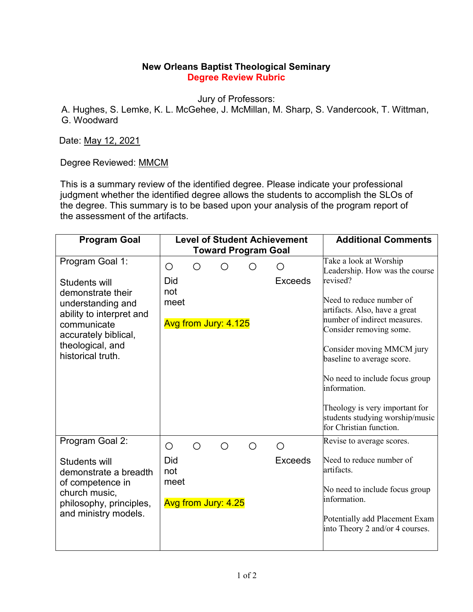## **New Orleans Baptist Theological Seminary Degree Review Rubric**

Jury of Professors:

A. Hughes, S. Lemke, K. L. McGehee, J. McMillan, M. Sharp, S. Vandercook, T. Wittman, G. Woodward

Date: May 12, 2021

Degree Reviewed: MMCM

This is a summary review of the identified degree. Please indicate your professional judgment whether the identified degree allows the students to accomplish the SLOs of the degree. This summary is to be based upon your analysis of the program report of the assessment of the artifacts.

| <b>Program Goal</b>                                                                                                                                                                    | <b>Level of Student Achievement</b>                       | <b>Additional Comments</b>                                                                                                                                                                                                                                                                                                  |  |  |  |  |
|----------------------------------------------------------------------------------------------------------------------------------------------------------------------------------------|-----------------------------------------------------------|-----------------------------------------------------------------------------------------------------------------------------------------------------------------------------------------------------------------------------------------------------------------------------------------------------------------------------|--|--|--|--|
| <b>Toward Program Goal</b>                                                                                                                                                             |                                                           |                                                                                                                                                                                                                                                                                                                             |  |  |  |  |
| Program Goal 1:<br>Students will<br>demonstrate their<br>understanding and<br>ability to interpret and<br>communicate<br>accurately biblical,<br>theological, and<br>historical truth. | О<br>∩<br>◯<br>Did<br>not<br>meet<br>Avg from Jury: 4.125 | Take a look at Worship<br>Leadership. How was the course<br>revised?<br><b>Exceeds</b><br>Need to reduce number of<br>artifacts. Also, have a great<br>number of indirect measures.<br>Consider removing some.<br>Consider moving MMCM jury<br>baseline to average score.<br>No need to include focus group<br>information. |  |  |  |  |
|                                                                                                                                                                                        |                                                           | Theology is very important for<br>students studying worship/music<br>for Christian function.                                                                                                                                                                                                                                |  |  |  |  |
| Program Goal 2:                                                                                                                                                                        | ∩<br>◯<br>◯<br>О<br>◯                                     | Revise to average scores.                                                                                                                                                                                                                                                                                                   |  |  |  |  |
| Students will<br>demonstrate a breadth<br>of competence in<br>church music,<br>philosophy, principles,<br>and ministry models.                                                         | Did<br>not<br>meet<br>Avg from Jury: 4.25                 | Need to reduce number of<br><b>Exceeds</b><br>artifacts.<br>No need to include focus group<br>information.<br>Potentially add Placement Exam<br>into Theory 2 and/or 4 courses.                                                                                                                                             |  |  |  |  |